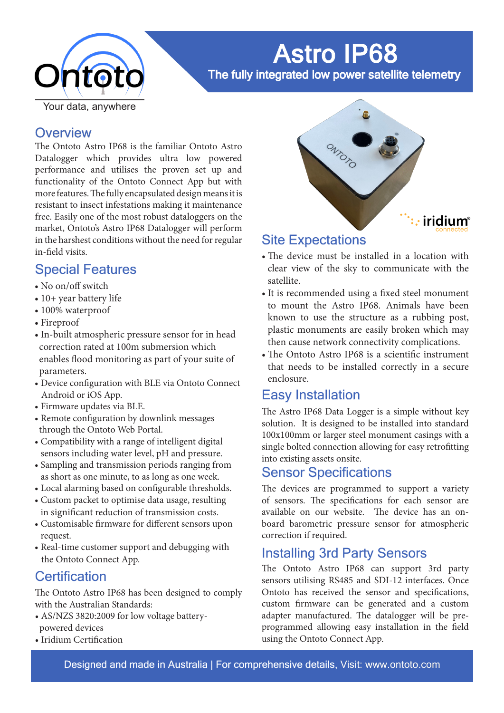

# Astro IP68

The fully integrated low power satellite telemetry

### **Overview**

The Ontoto Astro IP68 is the familiar Ontoto Astro Datalogger which provides ultra low powered performance and utilises the proven set up and functionality of the Ontoto Connect App but with more features. The fully encapsulated design means it is resistant to insect infestations making it maintenance free. Easily one of the most robust dataloggers on the market, Ontoto's Astro IP68 Datalogger will perform in the harshest conditions without the need for regular in-field visits.

### Special Features

- No on/off switch
- 10+ year battery life
- 100% waterproof
- Fireproof
- In-built atmospheric pressure sensor for in head correction rated at 100m submersion which enables flood monitoring as part of your suite of parameters.
- Device configuration with BLE via Ontoto Connect Android or iOS App.
- Firmware updates via BLE.
- Remote configuration by downlink messages through the Ontoto Web Portal.
- Compatibility with a range of intelligent digital sensors including water level, pH and pressure.
- Sampling and transmission periods ranging from as short as one minute, to as long as one week.
- Local alarming based on configurable thresholds.
- Custom packet to optimise data usage, resulting in significant reduction of transmission costs.
- Customisable firmware for different sensors upon request.
- Real-time customer support and debugging with the Ontoto Connect App.

# **Certification**

The Ontoto Astro IP68 has been designed to comply with the Australian Standards:

- AS/NZS 3820:2009 for low voltage battery powered devices
- Iridium Certification



# Site Expectations

- The device must be installed in a location with clear view of the sky to communicate with the satellite.
- It is recommended using a fixed steel monument to mount the Astro IP68. Animals have been known to use the structure as a rubbing post, plastic monuments are easily broken which may then cause network connectivity complications.
- The Ontoto Astro IP68 is a scientific instrument that needs to be installed correctly in a secure enclosure.

# Easy Installation

The Astro IP68 Data Logger is a simple without key solution. It is designed to be installed into standard 100x100mm or larger steel monument casings with a single bolted connection allowing for easy retrofitting into existing assets onsite.

# Sensor Specifications

The devices are programmed to support a variety of sensors. The specifications for each sensor are available on our website. The device has an onboard barometric pressure sensor for atmospheric correction if required.

# Installing 3rd Party Sensors

The Ontoto Astro IP68 can support 3rd party sensors utilising RS485 and SDI-12 interfaces. Once Ontoto has received the sensor and specifications, custom firmware can be generated and a custom adapter manufactured. The datalogger will be preprogrammed allowing easy installation in the field using the Ontoto Connect App.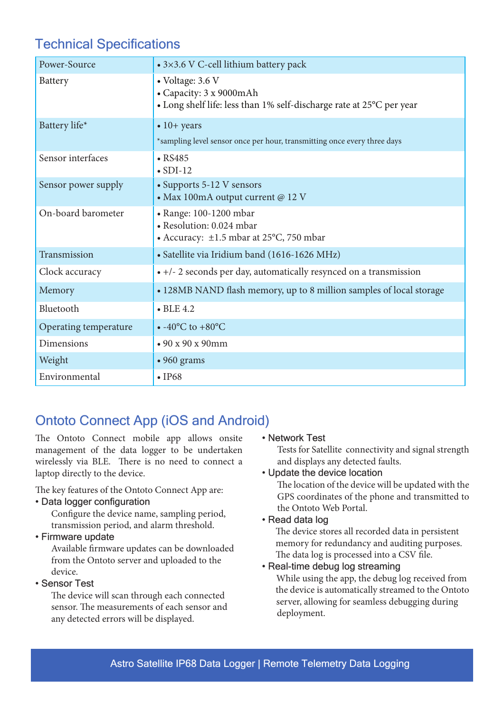# Technical Specifications

| Power-Source          | • 3×3.6 V C-cell lithium battery pack                                                                               |
|-----------------------|---------------------------------------------------------------------------------------------------------------------|
| Battery               | • Voltage: 3.6 V<br>• Capacity: 3 x 9000mAh<br>• Long shelf life: less than 1% self-discharge rate at 25°C per year |
| Battery life*         | $\bullet$ 10+ years<br>*sampling level sensor once per hour, transmitting once every three days                     |
| Sensor interfaces     | $\bullet$ RS485<br>$\bullet$ SDI-12                                                                                 |
| Sensor power supply   | • Supports 5-12 V sensors<br>• Max 100mA output current @ 12 V                                                      |
| On-board barometer    | • Range: 100-1200 mbar<br>• Resolution: 0.024 mbar<br>• Accuracy: $\pm 1.5$ mbar at 25°C, 750 mbar                  |
| Transmission          | • Satellite via Iridium band (1616-1626 MHz)                                                                        |
| Clock accuracy        | • +/- 2 seconds per day, automatically resynced on a transmission                                                   |
| Memory                | • 128MB NAND flash memory, up to 8 million samples of local storage                                                 |
| Bluetooth             | $\bullet$ BLE 4.2                                                                                                   |
| Operating temperature | $\bullet$ -40°C to +80°C                                                                                            |
| Dimensions            | $\cdot$ 90 x 90 x 90mm                                                                                              |
| Weight                | • 960 grams                                                                                                         |
| Environmental         | $\cdot$ IP68                                                                                                        |

# Ontoto Connect App (iOS and Android)

The Ontoto Connect mobile app allows onsite management of the data logger to be undertaken wirelessly via BLE. There is no need to connect a laptop directly to the device.

The key features of the Ontoto Connect App are:

#### • Data logger configuration

 Configure the device name, sampling period, transmission period, and alarm threshold.

#### • Firmware update

 Available firmware updates can be downloaded from the Ontoto server and uploaded to the device.

#### • Sensor Test

 The device will scan through each connected sensor. The measurements of each sensor and any detected errors will be displayed.

#### • Network Test

Tests for Satellite connectivity and signal strength and displays any detected faults.

#### • Update the device location

The location of the device will be updated with the GPS coordinates of the phone and transmitted to the Ontoto Web Portal.

#### • Read data log

 The device stores all recorded data in persistent memory for redundancy and auditing purposes. The data log is processed into a CSV file.

#### • Real-time debug log streaming

 While using the app, the debug log received from the device is automatically streamed to the Ontoto server, allowing for seamless debugging during deployment.